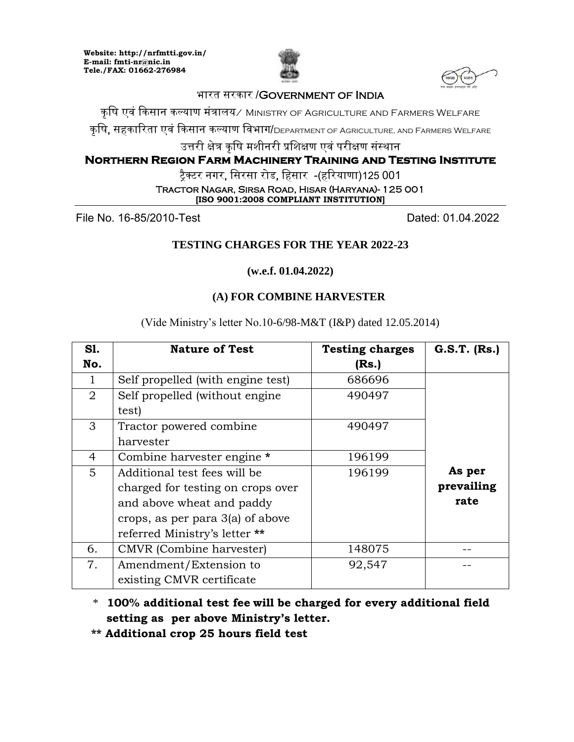**Website: http://nrfmtti.gov.in/ E-mail: fmti-nr@nic.in Tele./FAX: 01662-276984**





## भारत सरकार /Government of India

कृषि एवं किसान कल्याण मंत्रालय⁄ Ministry of Agriculture and Farmers Welfare

कृषि, सहकारिता एवं किसान कल्याण विभाग/DEPARTMENT OF AGRICULTURE, AND FARMERS WELFARE

उत्तरी क्षेत्र कृषि मशीनरी प्रशिक्षण एवं परीक्षण संस्थान

## **Northern Region Farm Machinery Training and Testing Institute**

टैक्टर नगर, सिरसा रोड, हिसार -(हरियाणा)125 001

Tractor Nagar, Sirsa Road, Hisar (Haryana)- 125 001 **[ISO 9001:2008 COMPLIANT INSTITUTION]**

File No. 16-85/2010-Test Dated: 01.04.2022

# **TESTING CHARGES FOR THE YEAR 2022-23**

**(w.e.f. 01.04.2022)**

## **(A) FOR COMBINE HARVESTER**

(Vide Ministry's letter No.10-6/98-M&T (I&P) dated 12.05.2014)

| S1. | <b>Nature of Test</b>             | <b>Testing charges</b> | $G.S.T.$ $(Rs.)$ |
|-----|-----------------------------------|------------------------|------------------|
| No. |                                   | (Rs.)                  |                  |
| 1   | Self propelled (with engine test) | 686696                 |                  |
| 2   | Self propelled (without engine    | 490497                 |                  |
|     | test)                             |                        |                  |
| 3   | Tractor powered combine           | 490497                 |                  |
|     | harvester                         |                        |                  |
| 4   | Combine harvester engine *        | 196199                 |                  |
| 5   | Additional test fees will be      | 196199                 | As per           |
|     | charged for testing on crops over |                        | prevailing       |
|     | and above wheat and paddy         |                        | rate             |
|     | crops, as per para 3(a) of above  |                        |                  |
|     | referred Ministry's letter **     |                        |                  |
| 6.  | CMVR (Combine harvester)          | 148075                 |                  |
| 7.  | Amendment/Extension to            | 92,547                 |                  |
|     | existing CMVR certificate         |                        |                  |

 \* **100% additional test fee will be charged for every additional field setting as per above Ministry's letter.**

 **\*\* Additional crop 25 hours field test**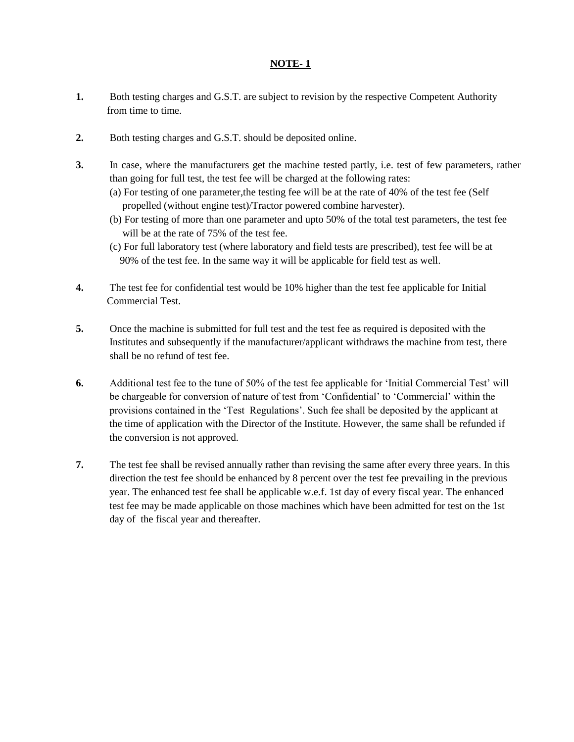#### **NOTE- 1**

- **1.** Both testing charges and G.S.T. are subject to revision by the respective Competent Authority from time to time.
- **2.** Both testing charges and G.S.T. should be deposited online.
- **3.** In case, where the manufacturers get the machine tested partly, i.e. test of few parameters, rather than going for full test, the test fee will be charged at the following rates:
	- (a) For testing of one parameter,the testing fee will be at the rate of 40% of the test fee (Self propelled (without engine test)/Tractor powered combine harvester).
	- (b) For testing of more than one parameter and upto 50% of the total test parameters, the test fee will be at the rate of 75% of the test fee.
	- (c) For full laboratory test (where laboratory and field tests are prescribed), test fee will be at 90% of the test fee. In the same way it will be applicable for field test as well.
- **4.** The test fee for confidential test would be 10% higher than the test fee applicable for Initial Commercial Test.
- **5.** Once the machine is submitted for full test and the test fee as required is deposited with the Institutes and subsequently if the manufacturer/applicant withdraws the machine from test, there shall be no refund of test fee.
- **6.** Additional test fee to the tune of 50% of the test fee applicable for 'Initial Commercial Test' will be chargeable for conversion of nature of test from 'Confidential' to 'Commercial' within the provisions contained in the 'Test Regulations'. Such fee shall be deposited by the applicant at the time of application with the Director of the Institute. However, the same shall be refunded if the conversion is not approved.
- **7.** The test fee shall be revised annually rather than revising the same after every three years. In this direction the test fee should be enhanced by 8 percent over the test fee prevailing in the previous year. The enhanced test fee shall be applicable w.e.f. 1st day of every fiscal year. The enhanced test fee may be made applicable on those machines which have been admitted for test on the 1st day of the fiscal year and thereafter.